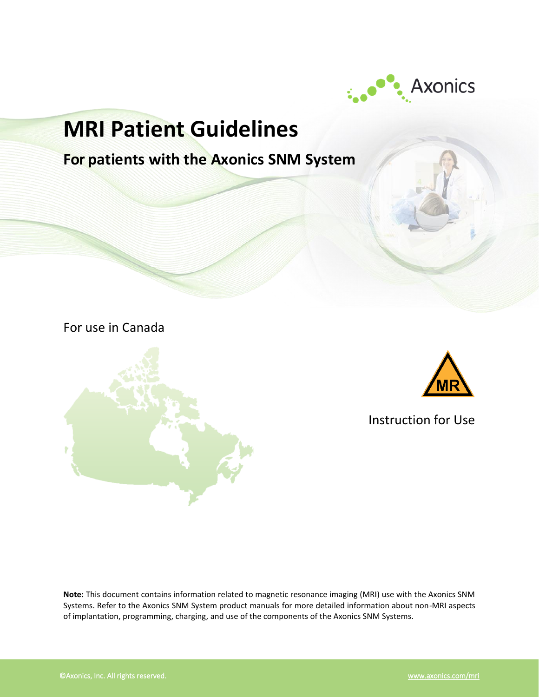

# **MRI Patient Guidelines**

**For patients with the Axonics SNM System**

## For use in Canada





Instruction for Use

**Note:** This document contains information related to magnetic resonance imaging (MRI) use with the Axonics SNM Systems. Refer to the Axonics SNM System product manuals for more detailed information about non-MRI aspects of implantation, programming, charging, and use of the components of the Axonics SNM Systems.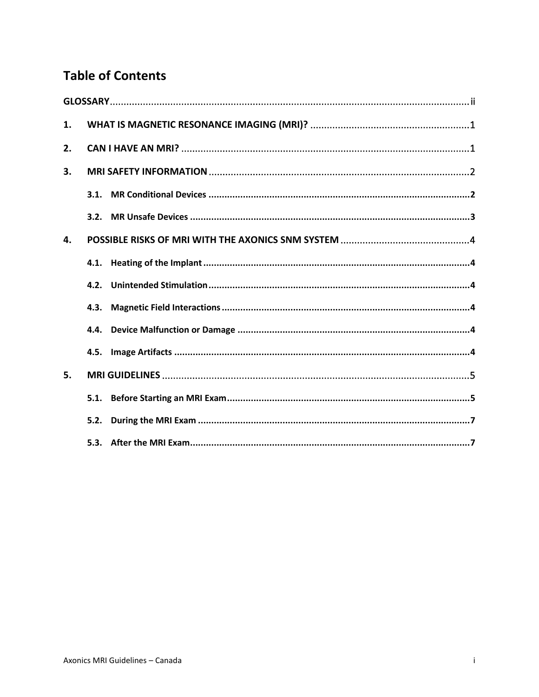## **Table of Contents**

| 1. |      |  |  |
|----|------|--|--|
| 2. |      |  |  |
| 3. |      |  |  |
|    | 3.1. |  |  |
|    |      |  |  |
| 4. |      |  |  |
|    |      |  |  |
|    | 4.2. |  |  |
|    | 4.3. |  |  |
|    |      |  |  |
|    | 4.5. |  |  |
| 5. |      |  |  |
|    | 5.1. |  |  |
|    | 5.2. |  |  |
|    |      |  |  |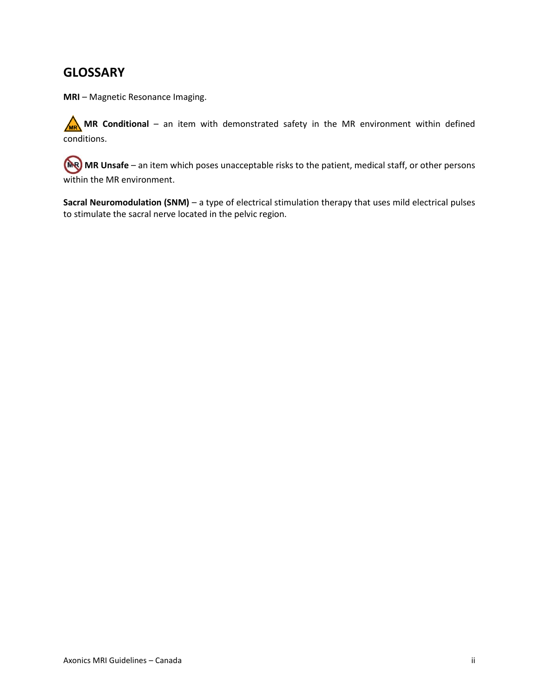## **GLOSSARY**

**MRI** – Magnetic Resonance Imaging.

**MR** MR Conditional – an item with demonstrated safety in the MR environment within defined conditions.

**MR MR Unsafe** – an item which poses unacceptable risks to the patient, medical staff, or other persons within the MR environment.

**Sacral Neuromodulation (SNM)** – a type of electrical stimulation therapy that uses mild electrical pulses to stimulate the sacral nerve located in the pelvic region.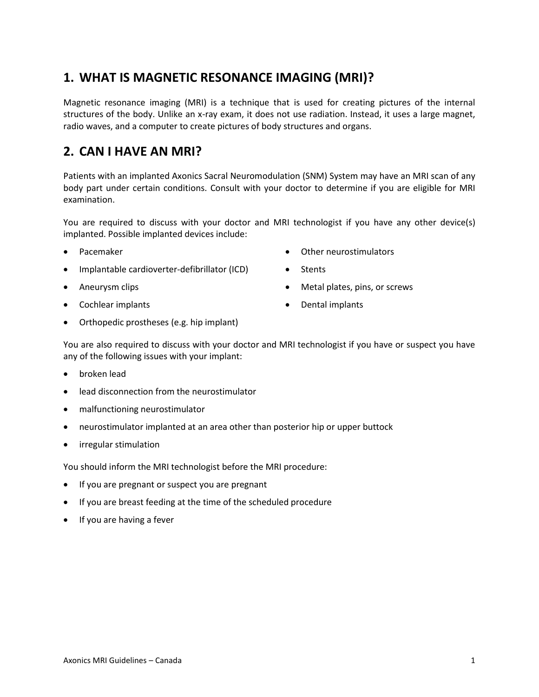### **1. WHAT IS MAGNETIC RESONANCE IMAGING (MRI)?**

Magnetic resonance imaging (MRI) is a technique that is used for creating pictures of the internal structures of the body. Unlike an x-ray exam, it does not use radiation. Instead, it uses a large magnet, radio waves, and a computer to create pictures of body structures and organs.

## <span id="page-3-0"></span>**2. CAN I HAVE AN MRI?**

Patients with an implanted Axonics Sacral Neuromodulation (SNM) System may have an MRI scan of any body part under certain conditions. Consult with your doctor to determine if you are eligible for MRI examination.

You are required to discuss with your doctor and MRI technologist if you have any other device(s) implanted. Possible implanted devices include:

- Pacemaker
- Implantable cardioverter-defibrillator (ICD)
- Aneurysm clips
- Cochlear implants
- Other neurostimulators
- Stents
- Metal plates, pins, or screws
- Dental implants
- Orthopedic prostheses (e.g. hip implant)

You are also required to discuss with your doctor and MRI technologist if you have or suspect you have any of the following issues with your implant:

- broken lead
- lead disconnection from the neurostimulator
- malfunctioning neurostimulator
- neurostimulator implanted at an area other than posterior hip or upper buttock
- irregular stimulation

You should inform the MRI technologist before the MRI procedure:

- If you are pregnant or suspect you are pregnant
- If you are breast feeding at the time of the scheduled procedure
- If you are having a fever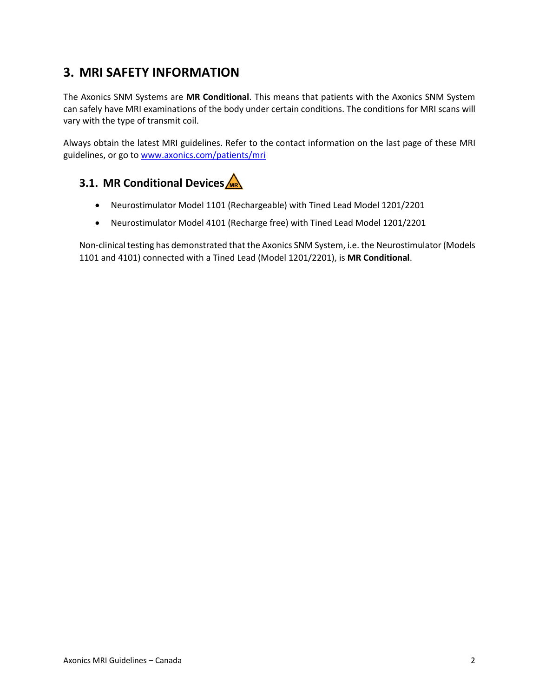## **3. MRI SAFETY INFORMATION**

The Axonics SNM Systems are **MR Conditional**. This means that patients with the Axonics SNM System can safely have MRI examinations of the body under certain conditions. The conditions for MRI scans will vary with the type of transmit coil.

Always obtain the latest MRI guidelines. Refer to the contact information on the last page of these MRI guidelines, or go to [www.axonics.com/patients/mri](http://www.axonics.com/patients/mri)

## **3.1. MR Conditional Devices**

- Neurostimulator Model 1101 (Rechargeable) with Tined Lead Model 1201/2201
- Neurostimulator Model 4101 (Recharge free) with Tined Lead Model 1201/2201

Non-clinical testing has demonstrated that the Axonics SNM System, i.e. the Neurostimulator (Models 1101 and 4101) connected with a Tined Lead (Model 1201/2201), is **MR Conditional**.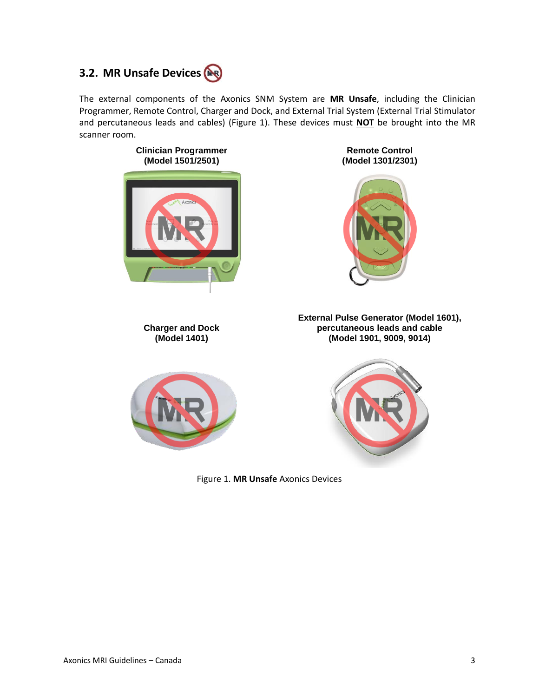## **3.2. MR Unsafe Devices**

The external components of the Axonics SNM System are **MR Unsafe**, including the Clinician Programmer, Remote Control, Charger and Dock, and External Trial System (External Trial Stimulator and percutaneous leads and cables) [\(Figure 1\)](#page-5-0). These devices must **NOT** be brought into the MR scanner room.



**Charger and Dock (Model 1401)**





**External Pulse Generator (Model 1601), percutaneous leads and cable (Model 1901, 9009, 9014)**

<span id="page-5-0"></span>



Figure 1. **MR Unsafe** Axonics Devices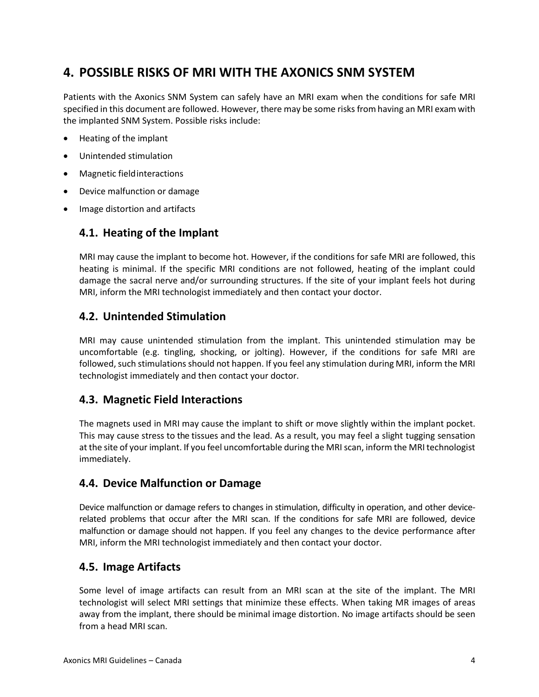## <span id="page-6-0"></span>**4. POSSIBLE RISKS OF MRI WITH THE AXONICS SNM SYSTEM**

Patients with the Axonics SNM System can safely have an MRI exam when the conditions for safe MRI specified in this document are followed. However, there may be some risks from having an MRI exam with the implanted SNM System. Possible risks include:

- Heating of the implant
- Unintended stimulation
- Magnetic fieldinteractions
- Device malfunction or damage
- Image distortion and artifacts

#### **4.1. Heating of the Implant**

MRI may cause the implant to become hot. However, if the conditions for safe MRI are followed, this heating is minimal. If the specific MRI conditions are not followed, heating of the implant could damage the sacral nerve and/or surrounding structures. If the site of your implant feels hot during MRI, inform the MRI technologist immediately and then contact your doctor.

#### **4.2. Unintended Stimulation**

MRI may cause unintended stimulation from the implant. This unintended stimulation may be uncomfortable (e.g. tingling, shocking, or jolting). However, if the conditions for safe MRI are followed, such stimulations should not happen. If you feel any stimulation during MRI, inform the MRI technologist immediately and then contact your doctor.

#### **4.3. Magnetic Field Interactions**

The magnets used in MRI may cause the implant to shift or move slightly within the implant pocket. This may cause stress to the tissues and the lead. As a result, you may feel a slight tugging sensation at the site of your implant. If you feel uncomfortable during the MRI scan, inform the MRI technologist immediately.

#### **4.4. Device Malfunction or Damage**

Device malfunction or damage refers to changes in stimulation, difficulty in operation, and other devicerelated problems that occur after the MRI scan. If the conditions for safe MRI are followed, device malfunction or damage should not happen. If you feel any changes to the device performance after MRI, inform the MRI technologist immediately and then contact your doctor.

#### **4.5. Image Artifacts**

Some level of image artifacts can result from an MRI scan at the site of the implant. The MRI technologist will select MRI settings that minimize these effects. When taking MR images of areas away from the implant, there should be minimal image distortion. No image artifacts should be seen from a head MRI scan.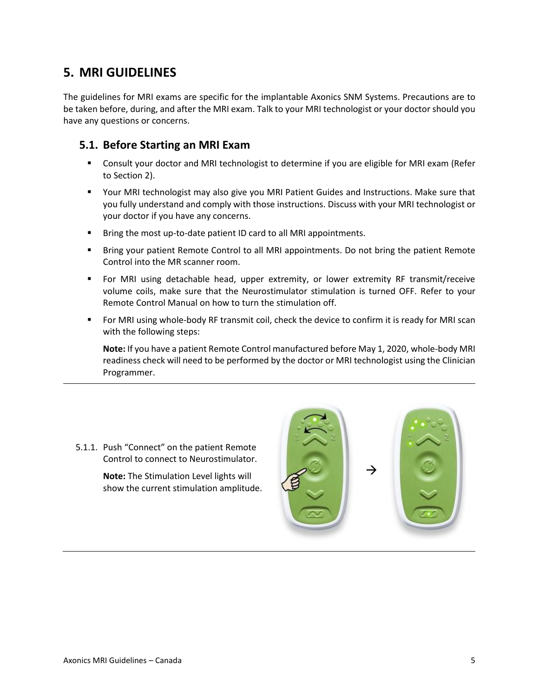## **5. MRI GUIDELINES**

The guidelines for MRI exams are specific for the implantable Axonics SNM Systems. Precautions are to be taken before, during, and after the MRI exam. Talk to your MRI technologist or your doctor should you have any questions or concerns.

#### **5.1. Before Starting an MRI Exam**

- Consult your doctor and MRI technologist to determine if you are eligible for MRI exam (Refer to Sectio[n 2\)](#page-3-0).
- Your MRI technologist may also give you MRI Patient Guides and Instructions. Make sure that you fully understand and comply with those instructions. Discuss with your MRI technologist or your doctor if you have any concerns.
- Bring the most up-to-date patient ID card to all MRI appointments.
- Bring your patient Remote Control to all MRI appointments. Do not bring the patient Remote Control into the MR scanner room.
- For MRI using detachable head, upper extremity, or lower extremity RF transmit/receive volume coils, make sure that the Neurostimulator stimulation is turned OFF. Refer to your Remote Control Manual on how to turn the stimulation off.
- For MRI using whole-body RF transmit coil, check the device to confirm it is ready for MRI scan with the following steps:

**Note:** If you have a patient Remote Control manufactured before May 1, 2020, whole-body MRI readiness check will need to be performed by the doctor or MRI technologist using the Clinician Programmer.

5.1.1. Push "Connect" on the patient Remote Control to connect to Neurostimulator.

> **Note:** The Stimulation Level lights will show the current stimulation amplitude.

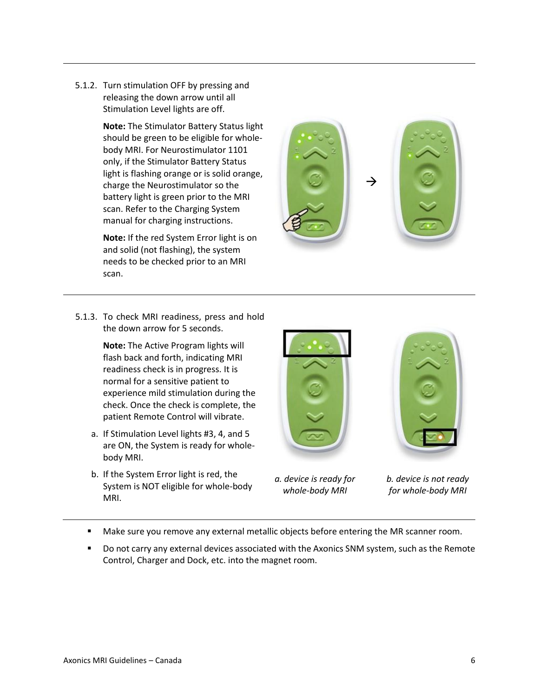5.1.2. Turn stimulation OFF by pressing and releasing the down arrow until all Stimulation Level lights are off.

> **Note:** The Stimulator Battery Status light should be green to be eligible for wholebody MRI. For Neurostimulator 1101 only, if the Stimulator Battery Status light is flashing orange or is solid orange, charge the Neurostimulator so the battery light is green prior to the MRI scan. Refer to the Charging System manual for charging instructions.

**Note:** If the red System Error light is on and solid (not flashing), the system needs to be checked prior to an MRI scan.



5.1.3. To check MRI readiness, press and hold the down arrow for 5 seconds.

> **Note:** The Active Program lights will flash back and forth, indicating MRI readiness check is in progress. It is normal for a sensitive patient to experience mild stimulation during the check. Once the check is complete, the patient Remote Control will vibrate.

- a. If Stimulation Level lights #3, 4, and 5 are ON, the System is ready for wholebody MRI.
- b. If the System Error light is red, the System is NOT eligible for whole-body MRI.



*a. device is ready for whole-body MRI*



*b. device is not ready for whole-body MRI*

- Make sure you remove any external metallic objects before entering the MR scanner room.
- Do not carry any external devices associated with the Axonics SNM system, such as the Remote Control, Charger and Dock, etc. into the magnet room.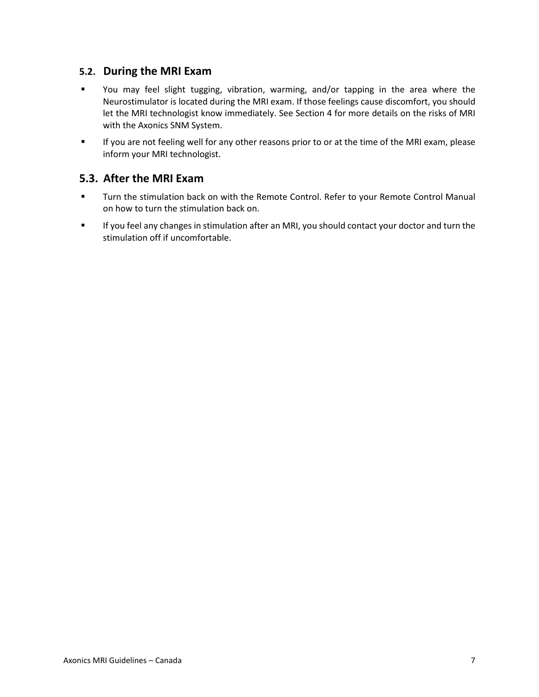#### **5.2. During the MRI Exam**

- You may feel slight tugging, vibration, warming, and/or tapping in the area where the Neurostimulator is located during the MRI exam. If those feelings cause discomfort, you should let the MRI technologist know immediately. See Section [4](#page-6-0) for more details on the risks of MRI with the Axonics SNM System.
- **■** If you are not feeling well for any other reasons prior to or at the time of the MRI exam, please inform your MRI technologist.

#### **5.3. After the MRI Exam**

- **■** Turn the stimulation back on with the Remote Control. Refer to your Remote Control Manual on how to turn the stimulation back on.
- If you feel any changes in stimulation after an MRI, you should contact your doctor and turn the stimulation off if uncomfortable.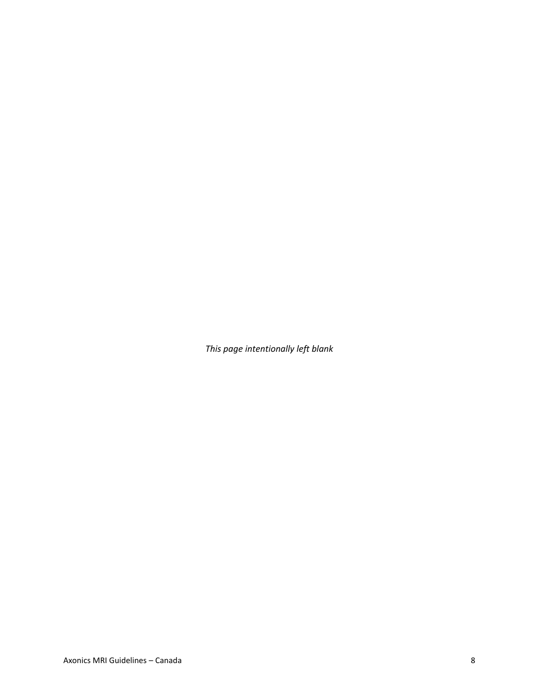*This page intentionally left blank*